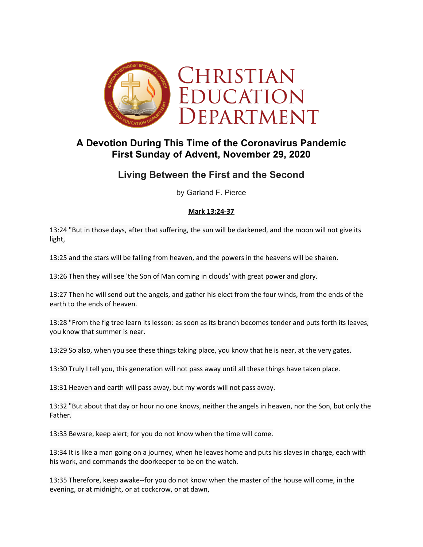

# **A Devotion During This Time of the Coronavirus Pandemic First Sunday of Advent, November 29, 2020**

# **Living Between the First and the Second**

by Garland F. Pierce

## **Mark 13:24-37**

13:24 "But in those days, after that suffering, the sun will be darkened, and the moon will not give its light,

13:25 and the stars will be falling from heaven, and the powers in the heavens will be shaken.

13:26 Then they will see 'the Son of Man coming in clouds' with great power and glory.

13:27 Then he will send out the angels, and gather his elect from the four winds, from the ends of the earth to the ends of heaven.

13:28 "From the fig tree learn its lesson: as soon as its branch becomes tender and puts forth its leaves, you know that summer is near.

13:29 So also, when you see these things taking place, you know that he is near, at the very gates.

13:30 Truly I tell you, this generation will not pass away until all these things have taken place.

13:31 Heaven and earth will pass away, but my words will not pass away.

13:32 "But about that day or hour no one knows, neither the angels in heaven, nor the Son, but only the Father.

13:33 Beware, keep alert; for you do not know when the time will come.

13:34 It is like a man going on a journey, when he leaves home and puts his slaves in charge, each with his work, and commands the doorkeeper to be on the watch.

13:35 Therefore, keep awake--for you do not know when the master of the house will come, in the evening, or at midnight, or at cockcrow, or at dawn,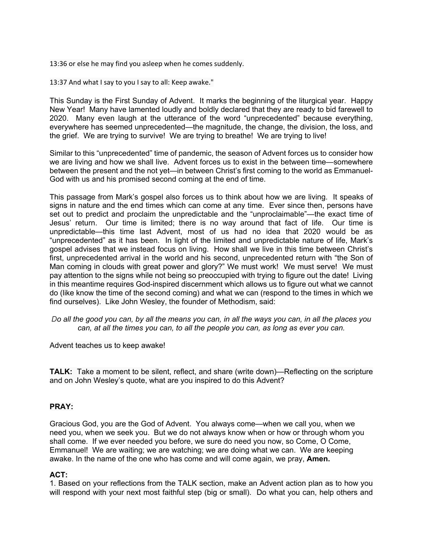13:36 or else he may find you asleep when he comes suddenly.

13:37 And what I say to you I say to all: Keep awake."

This Sunday is the First Sunday of Advent. It marks the beginning of the liturgical year. Happy New Year! Many have lamented loudly and boldly declared that they are ready to bid farewell to 2020. Many even laugh at the utterance of the word "unprecedented" because everything, everywhere has seemed unprecedented—the magnitude, the change, the division, the loss, and the grief. We are trying to survive! We are trying to breathe! We are trying to live!

Similar to this "unprecedented" time of pandemic, the season of Advent forces us to consider how we are living and how we shall live. Advent forces us to exist in the between time—somewhere between the present and the not yet—in between Christ's first coming to the world as Emmanuel-God with us and his promised second coming at the end of time.

This passage from Mark's gospel also forces us to think about how we are living. It speaks of signs in nature and the end times which can come at any time. Ever since then, persons have set out to predict and proclaim the unpredictable and the "unproclaimable"—the exact time of Jesus' return. Our time is limited; there is no way around that fact of life. Our time is unpredictable—this time last Advent, most of us had no idea that 2020 would be as "unprecedented" as it has been. In light of the limited and unpredictable nature of life, Mark's gospel advises that we instead focus on living. How shall we live in this time between Christ's first, unprecedented arrival in the world and his second, unprecedented return with "the Son of Man coming in clouds with great power and glory?" We must work! We must serve! We must pay attention to the signs while not being so preoccupied with trying to figure out the date! Living in this meantime requires God-inspired discernment which allows us to figure out what we cannot do (like know the time of the second coming) and what we can (respond to the times in which we find ourselves). Like John Wesley, the founder of Methodism, said:

*Do all the good you can, by all the means you can, in all the ways you can, in all the places you can, at all the times you can, to all the people you can, as long as ever you can.*

Advent teaches us to keep awake!

**TALK:** Take a moment to be silent, reflect, and share (write down)—Reflecting on the scripture and on John Wesley's quote, what are you inspired to do this Advent?

### **PRAY:**

Gracious God, you are the God of Advent. You always come—when we call you, when we need you, when we seek you. But we do not always know when or how or through whom you shall come. If we ever needed you before, we sure do need you now, so Come, O Come, Emmanuel! We are waiting; we are watching; we are doing what we can. We are keeping awake. In the name of the one who has come and will come again, we pray, **Amen.**

### **ACT:**

1. Based on your reflections from the TALK section, make an Advent action plan as to how you will respond with your next most faithful step (big or small). Do what you can, help others and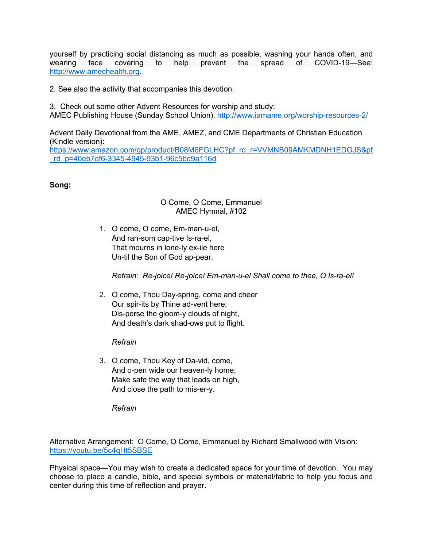yourself by practicing social distancing as much as possible, washing your hands often, and wearing face covering to help prevent the spread of COVID-19—See: http://www.amechealth.org.

2. See also the activity that accompanies this devotion.

3. Check out some other Advent Resources for worship and study: AMEC Publishing House (Sunday School Union). http://www.iamame.org/worship-resources-2/

Advent Daily Devotional from the AME, AMEZ, and CME Departments of Christian Education (Kindle version):

https://www.amazon.com/gp/product/B08M6FGLHC?pf\_rd\_r=VVMNB09AMKMDNH1EDGJS&pf \_rd\_p=40eb7df6-3345-4945-93b1-96c5bd9a116d

#### **Song:**

#### O Come, O Come, Emmanuel AMEC Hymnal, #102

1. O come, O come, Em-man-u-el, And ran-som cap-tive Is-ra-el, That mourns in lone-ly ex-ile here Un-til the Son of God ap-pear.

*Refrain: Re-joice! Re-joice! Em-man-u-el Shall come to thee, O Is-ra-el!*

2. O come, Thou Day-spring, come and cheer Our spir-its by Thine ad-vent here; Dis-perse the gloom-y clouds of night, And death's dark shad-ows put to flight.

*Refrain*

3. O come, Thou Key of Da-vid, come, And o-pen wide our heaven-ly home; Make safe the way that leads on high, And close the path to mis-er-y.

*Refrain*

Alternative Arrangement: O Come, O Come, Emmanuel by Richard Smallwood with Vision: https://youtu.be/5c4qHt5SBSE

Physical space—You may wish to create a dedicated space for your time of devotion. You may choose to place a candle, bible, and special symbols or material/fabric to help you focus and center during this time of reflection and prayer.